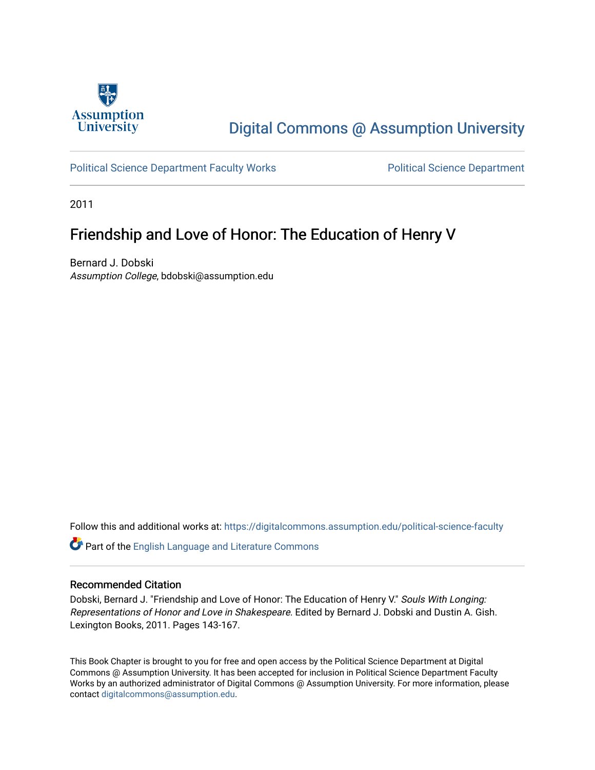

# [Digital Commons @ Assumption University](https://digitalcommons.assumption.edu/)

#### [Political Science Department Faculty Works](https://digitalcommons.assumption.edu/political-science-faculty) **Political Science Department**

2011

### Friendship and Love of Honor: The Education of Henry V

Bernard J. Dobski Assumption College, bdobski@assumption.edu

Follow this and additional works at: [https://digitalcommons.assumption.edu/political-science-faculty](https://digitalcommons.assumption.edu/political-science-faculty?utm_source=digitalcommons.assumption.edu%2Fpolitical-science-faculty%2F62&utm_medium=PDF&utm_campaign=PDFCoverPages)

Part of the [English Language and Literature Commons](http://network.bepress.com/hgg/discipline/455?utm_source=digitalcommons.assumption.edu%2Fpolitical-science-faculty%2F62&utm_medium=PDF&utm_campaign=PDFCoverPages)

#### Recommended Citation

Dobski, Bernard J. "Friendship and Love of Honor: The Education of Henry V." Souls With Longing: Representations of Honor and Love in Shakespeare. Edited by Bernard J. Dobski and Dustin A. Gish. Lexington Books, 2011. Pages 143-167.

This Book Chapter is brought to you for free and open access by the Political Science Department at Digital Commons @ Assumption University. It has been accepted for inclusion in Political Science Department Faculty Works by an authorized administrator of Digital Commons @ Assumption University. For more information, please contact [digitalcommons@assumption.edu.](mailto:digitalcommons@assumption.edu)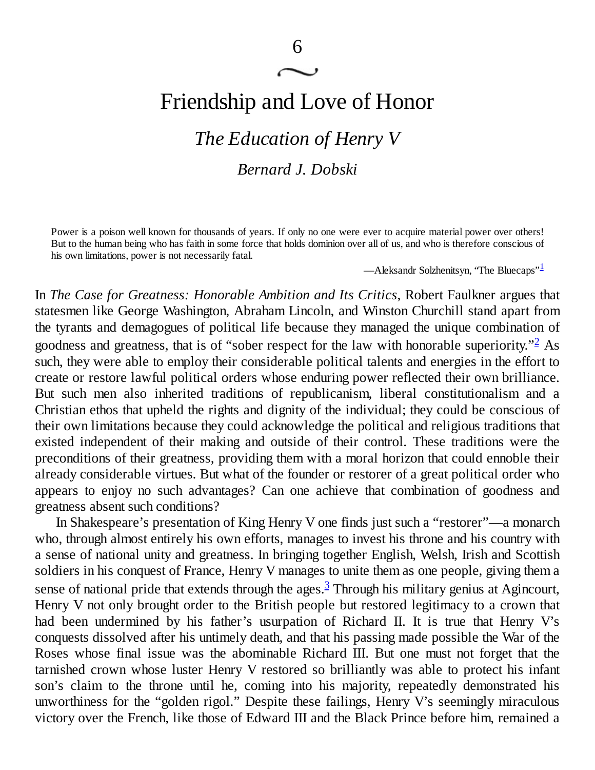6

# Friendship and Love of Honor

**The Education of Henry V** 

*Bernard J. Dobski*

Power is a poison well known for thousands of years. If only no one were ever to acquire material power over others! But to the human being who has faith in some force that holds dominion over all of us, and who is therefore conscious of his own limitations, power is not necessarily fatal.

—Aleksandr Solzhenitsyn, "The Bluecaps" $\frac{1}{2}$  $\frac{1}{2}$  $\frac{1}{2}$ 

In *The Case for Greatness: Honorable Ambition and Its Critics*, Robert Faulkner argues that statesmen like George Washington, Abraham Lincoln, and Winston Churchill stand apart from the tyrants and demagogues of political life because they managed the unique combination of goodness and greatness, that is of "sober respect for the law with honorable superiority."<sup>[2](#page-17-1)</sup> As such, they were able to employ their considerable political talents and energies in the effort to create or restore lawful political orders whose enduring power reflected their own brilliance. But such men also inherited traditions of republicanism, liberal constitutionalism and a Christian ethos that upheld the rights and dignity of the individual; they could be conscious of their own limitations because they could acknowledge the political and religious traditions that existed independent of their making and outside of their control. These traditions were the preconditions of their greatness, providing them with a moral horizon that could ennoble their already considerable virtues. But what of the founder or restorer of a great political order who appears to enjoy no such advantages? Can one achieve that combination of goodness and greatness absent such conditions?

In Shakespeare's presentation of King Henry V one finds just such a "restorer"—a monarch who, through almost entirely his own efforts, manages to invest his throne and his country with a sense of national unity and greatness. In bringing together English, Welsh, Irish and Scottish soldiers in his conquest of France, Henry V manages to unite them as one people, giving them a sense of national pride that extends through the ages.<sup>[3](#page-17-2)</sup> Through his military genius at Agincourt, Henry V not only brought order to the British people but restored legitimacy to a crown that had been undermined by his father's usurpation of Richard II. It is true that Henry V's conquests dissolved after his untimely death, and that his passing made possible the War of the Roses whose final issue was the abominable Richard III. But one must not forget that the tarnished crown whose luster Henry V restored so brilliantly was able to protect his infant son's claim to the throne until he, coming into his majority, repeatedly demonstrated his unworthiness for the "golden rigol." Despite these failings, Henry V's seemingly miraculous victory over the French, like those of Edward III and the Black Prince before him, remained a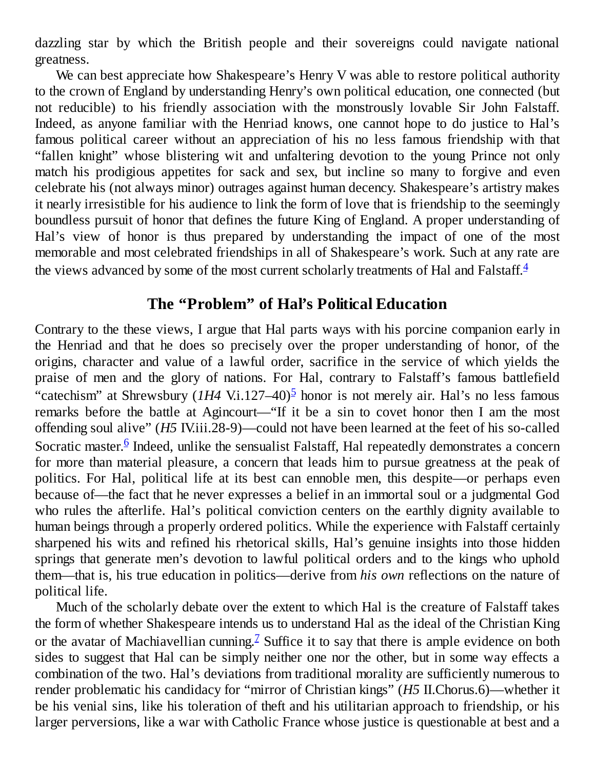dazzling star by which the British people and their sovereigns could navigate national greatness.

We can best appreciate how Shakespeare's Henry V was able to restore political authority to the crown of England by understanding Henry's own political education, one connected (but not reducible) to his friendly association with the monstrously lovable Sir John Falstaff. Indeed, as anyone familiar with the Henriad knows, one cannot hope to do justice to Hal's famous political career without an appreciation of his no less famous friendship with that "fallen knight" whose blistering wit and unfaltering devotion to the young Prince not only match his prodigious appetites for sack and sex, but incline so many to forgive and even celebrate his (not always minor) outrages against human decency. Shakespeare's artistry makes it nearly irresistible for his audience to link the form of love that is friendship to the seemingly boundless pursuit of honor that defines the future King of England. A proper understanding of Hal's view of honor is thus prepared by understanding the impact of one of the most memorable and most celebrated friendships in all of Shakespeare's work. Such at any rate are the views advanced by some of the most current scholarly treatments of Hal and Falstaff. $\frac{4}{5}$  $\frac{4}{5}$  $\frac{4}{5}$ 

#### The "Problem" of Hal's Political Education

Contrary to the these views, I argue that Hal parts ways with his porcine companion early in the Henriad and that he does so precisely over the proper understanding of honor, of the origins, character and value of a lawful order, sacrifice in the service of which yields the praise of men and the glory of nations. For Hal, contrary to Falstaff's famous battlefield "catechism" at Shrewsbury (1H4 V.i.127–40)<sup>[5](#page-17-4)</sup> honor is not merely air. Hal's no less famous remarks before the battle at Agincourt—"If it be a sin to covet honor then I am the most offending soul alive" (*H5* IV.iii.28-9)—could not have been learned at the feet of his so-called Socratic master.<sup>[6](#page-17-5)</sup> Indeed, unlike the sensualist Falstaff, Hal repeatedly demonstrates a concern for more than material pleasure, a concern that leads him to pursue greatness at the peak of politics. For Hal, political life at its best can ennoble men, this despite—or perhaps even because of—the fact that he never expresses a belief in an immortal soul or a judgmental God who rules the afterlife. Hal's political conviction centers on the earthly dignity available to human beings through a properly ordered politics. While the experience with Falstaff certainly sharpened his wits and refined his rhetorical skills, Hal's genuine insights into those hidden springs that generate men's devotion to lawful political orders and to the kings who uphold them—that is, his true education in politics—derive from *his* own reflections on the nature of political life.

Much of the scholarly debate over the extent to which Hal is the creature of Falstaff takes the form of whether Shakespeare intends us to understand Hal as the ideal of the Christian King or the avatar of Machiavellian cunning.<sup> $7$ </sup> Suffice it to say that there is ample evidence on both sides to suggest that Hal can be simply neither one nor the other, but in some way effects a combination of the two. Hal's deviations from traditional morality are sufficiently numerous to render problematic his candidacy for "mirror of Christian kings" (*H5* II.Chorus.6)—whether it be his venial sins, like his toleration of theft and his utilitarian approach to friendship, or his larger perversions, like a war with Catholic France whose justice is questionable at best and a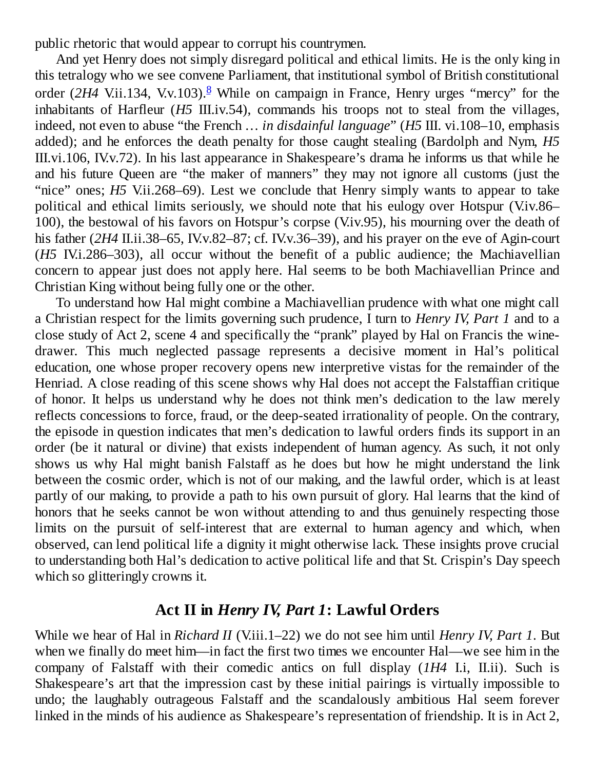public rhetoric that would appear to corrupt his countrymen.

And yet Henry does not simply disregard political and ethical limits. He is the only king in this tetralogy who we see convene Parliament, that institutional symbol of British constitutional order (2H4 V.ii.134, V.v.103).<sup>[8](#page-18-1)</sup> While on campaign in France, Henry urges "mercy" for the inhabitants of Harfleur (*H5* III.iv.54), commands his troops not to steal from the villages, indeed, not even to abuse "the French ... *in disdainful language*" (*H5* III. vi.108–10, emphasis added); and he enforces the death penalty for those caught stealing (Bardolph and Nym, *H5*) III.vi.106, IV.v.72). In his last appearance in Shakespeare's drama he informs us that while he and his future Queen are "the maker of manners" they may not ignore all customs (just the "nice" ones; *H5* V.ii.268–69). Lest we conclude that Henry simply wants to appear to take political and ethical limits seriously, we should note that his eulogy over Hotspur (V.iv.86– 100), the bestowal of his favors on Hotspur's corpse (V.iv.95), his mourning over the death of his father (2H4 II.ii.38–65, IV.v.82–87; cf. IV.v.36–39), and his prayer on the eve of Agin-court (*H5* IV.i.286–303), all occur without the benefit of a public audience; the Machiavellian concern to appear just does not apply here. Hal seems to be both Machiavellian Prince and Christian King without being fully one or the other.

To understand how Hal might combine a Machiavellian prudence with what one might call a Christian respect for the limits governing such prudence, I turn to *Henry IV, Part 1* and to a close study of Act 2, scene 4 and specifically the "prank" played by Hal on Francis the winedrawer. This much neglected passage represents a decisive moment in Hal's political education, one whose proper recovery opens new interpretive vistas for the remainder of the Henriad. A close reading of this scene shows why Hal does not accept the Falstaffian critique of honor. It helps us understand why he does not think men's dedication to the law merely reflects concessions to force, fraud, or the deep-seated irrationality of people. On the contrary, the episode in question indicates that men's dedication to lawful orders finds its support in an order (be it natural or divine) that exists independent of human agency. As such, it not only shows us why Hal might banish Falstaff as he does but how he might understand the link between the cosmic order, which is not of our making, and the lawful order, which is at least partly of our making, to provide a path to his own pursuit of glory. Hal learns that the kind of honors that he seeks cannot be won without attending to and thus genuinely respecting those limits on the pursuit of self-interest that are external to human agency and which, when observed, can lend political life a dignity it might otherwise lack. These insights prove crucial to understanding both Hal's dedication to active political life and that St. Crispin's Day speech which so glitteringly crowns it.

#### Act II in *Henry IV, Part 1*: Lawful Orders

While we hear of Hal in *Richard II* (V.iii.1–22) we do not see him until *Henry IV, Part 1*. But when we finally do meet him—in fact the first two times we encounter Hal—we see him in the company of Falstaff with their comedic antics on full display (1H4 I.i, II.ii). Such is Shakespeare's art that the impression cast by these initial pairings is virtually impossible to undo; the laughably outrageous Falstaff and the scandalously ambitious Hal seem forever linked in the minds of his audience as Shakespeare's representation of friendship. It is in Act 2,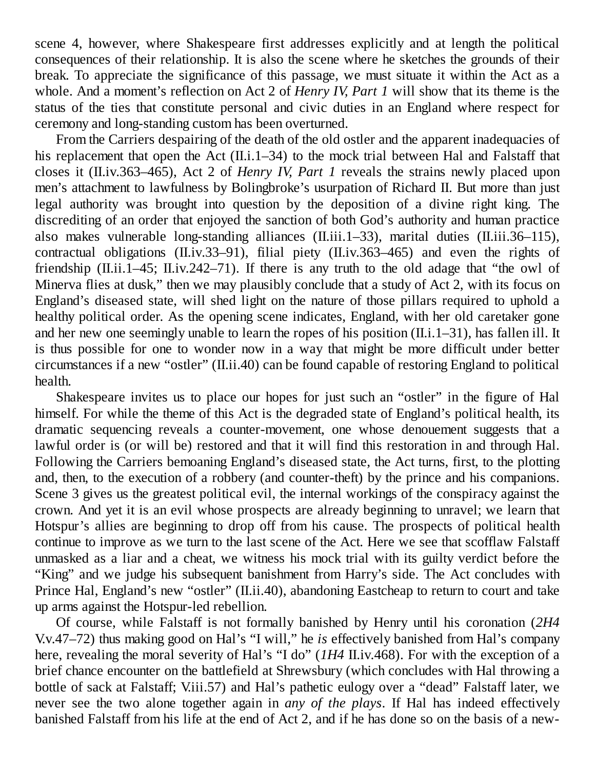scene 4, however, where Shakespeare first addresses explicitly and at length the political consequences of their relationship. It is also the scene where he sketches the grounds of their break. To appreciate the significance of this passage, we must situate it within the Act as a whole. And a moment's reflection on Act 2 of *Henry IV, Part 1* will show that its theme is the status of the ties that constitute personal and civic duties in an England where respect for ceremony and long-standing custom has been overturned.

From the Carriers despairing of the death of the old ostler and the apparent inadequacies of his replacement that open the Act  $(II.i.1–34)$  to the mock trial between Hal and Falstaff that closes it (II.iv.363–465), Act 2 of *Henry IV, Part 1* reveals the strains newly placed upon men's attachment to lawfulness by Bolingbroke's usurpation of Richard II. But more than just legal authority was brought into question by the deposition of a divine right king. The discrediting of an order that enjoyed the sanction of both God's authority and human practice also makes vulnerable long-standing alliances (II.iii.1–33), marital duties (II.iii.36–115), contractual obligations (II.iv.33–91), filial piety (II.iv.363–465) and even the rights of friendship  $(II.ii.1-45; II.iv.242-71)$ . If there is any truth to the old adage that "the owl of Minerva flies at dusk," then we may plausibly conclude that a study of Act 2, with its focus on England's diseased state, will shed light on the nature of those pillars required to uphold a healthy political order. As the opening scene indicates, England, with her old caretaker gone and her new one seemingly unable to learn the ropes of his position  $(II.i.1–31)$ , has fallen ill. It is thus possible for one to wonder now in a way that might be more difficult under better circumstances if a new "ostler" (II.ii.40) can be found capable of restoring England to political health.

Shakespeare invites us to place our hopes for just such an "ostler" in the figure of Hal himself. For while the theme of this Act is the degraded state of England's political health, its dramatic sequencing reveals a counter-movement, one whose denouement suggests that a lawful order is (or will be) restored and that it will find this restoration in and through Hal. Following the Carriers bemoaning England's diseased state, the Act turns, first, to the plotting and, then, to the execution of a robbery (and counter-theft) by the prince and his companions. Scene 3 gives us the greatest political evil, the internal workings of the conspiracy against the crown. And yet it is an evil whose prospects are already beginning to unravel; we learn that Hotspur's allies are beginning to drop off from his cause. The prospects of political health continue to improve as we turn to the last scene of the Act. Here we see that scofflaw Falstaff unmasked as a liar and a cheat, we witness his mock trial with its guilty verdict before the "King" and we judge his subsequent banishment from Harry's side. The Act concludes with Prince Hal, England's new "ostler" (II.ii.40), abandoning Eastcheap to return to court and take up arms against the Hotspur-led rebellion.

Of course, while Falstaff is not formally banished by Henry until his coronation (2H4 V.v.47–72) thus making good on Hal's "I will," he *is* effectively banished from Hal's company here, revealing the moral severity of Hal's "I do" (1H4 II.iv.468). For with the exception of a brief chance encounter on the battlefield at Shrewsbury (which concludes with Hal throwing a bottle of sack at Falstaff; V.iii.57) and Hal's pathetic eulogy over a "dead" Falstaff later, we never see the two alone together again in *any* of the plays. If Hal has indeed effectively banished Falstaff from his life at the end of Act 2, and if he has done so on the basis of a new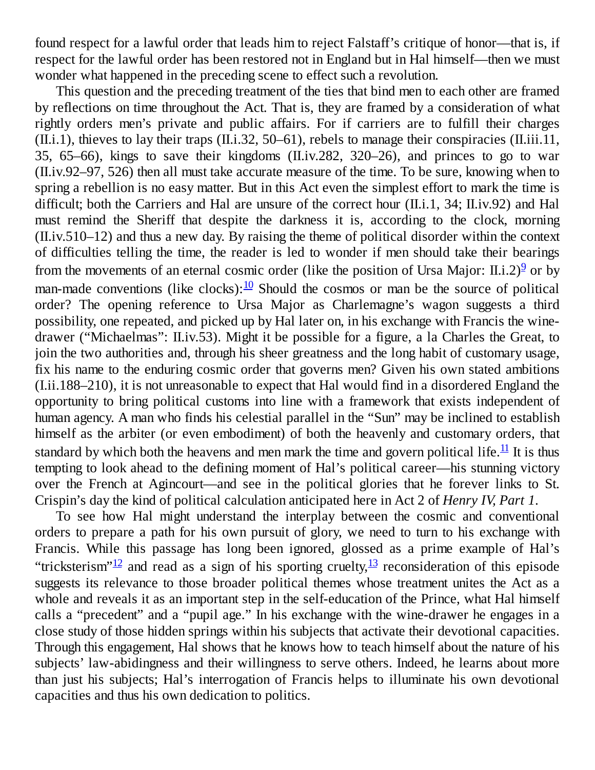found respect for a lawful order that leads him to reject Falstaff's critique of honor—that is, if respect for the lawful order has been restored not in England but in Hal himself—then we must wonder what happened in the preceding scene to effect such a revolution.

This question and the preceding treatment of the ties that bind men to each other are framed by reflections on time throughout the Act. That is, they are framed by a consideration of what rightly orders men's private and public affairs. For if carriers are to fulfill their charges  $(II.i.1)$ , thieves to lay their traps  $(II.i.32, 50–61)$ , rebels to manage their conspiracies  $(II.iii.11,$ 35,  $65–66$ ), kings to save their kingdoms (II.iv.282, 320–26), and princes to go to war  $(II.iv.92–97, 526)$  then all must take accurate measure of the time. To be sure, knowing when to spring a rebellion is no easy matter. But in this Act even the simplest effort to mark the time is difficult; both the Carriers and Hal are unsure of the correct hour  $(II.i.1, 34; II.iv.92)$  and Hal must remind the Sheriff that despite the darkness it is, according to the clock, morning  $(II.iv.510–12)$  and thus a new day. By raising the theme of political disorder within the context of difficulties telling the time, the reader is led to wonder if men should take their bearings from the movements of an eternal cosmic order (like the position of Ursa Major: II.i.2) $\frac{9}{2}$  $\frac{9}{2}$  $\frac{9}{2}$  or by man-made conventions (like clocks): $\frac{10}{10}$  $\frac{10}{10}$  $\frac{10}{10}$  Should the cosmos or man be the source of political order? The opening reference to Ursa Major as Charlemagne's wagon suggests a third possibility, one repeated, and picked up by Hal later on, in his exchange with Francis the winedrawer ("Michaelmas": II.iv.53). Might it be possible for a figure, a la Charles the Great, to join the two authorities and, through his sheer greatness and the long habit of customary usage, fix his name to the enduring cosmic order that governs men? Given his own stated ambitions (I.ii.188–210), it is not unreasonable to expect that Hal would find in a disordered England the opportunity to bring political customs into line with a framework that exists independent of human agency. A man who finds his celestial parallel in the "Sun" may be inclined to establish himself as the arbiter (or even embodiment) of both the heavenly and customary orders, that standard by which both the heavens and men mark the time and govern political life.<sup>[11](#page-19-0)</sup> It is thus tempting to look ahead to the defining moment of Hal's political career—his stunning victory over the French at Agincourt—and see in the political glories that he forever links to St. Crispin's day the kind of political calculation anticipated here in Act 2 of *Henry IV, Part 1*.

To see how Hal might understand the interplay between the cosmic and conventional orders to prepare a path for his own pursuit of glory, we need to turn to his exchange with Francis. While this passage has long been ignored, glossed as a prime example of Hal's "tricksterism"<sup>[12](#page-19-1)</sup> and read as a sign of his sporting cruelty,  $\frac{13}{13}$  $\frac{13}{13}$  $\frac{13}{13}$  reconsideration of this episode suggests its relevance to those broader political themes whose treatment unites the Act as a whole and reveals it as an important step in the self-education of the Prince, what Hal himself calls a "precedent" and a "pupil age." In his exchange with the wine-drawer he engages in a close study of those hidden springs within his subjects that activate their devotional capacities. Through this engagement, Hal shows that he knows how to teach himself about the nature of his subjects' law-abidingness and their willingness to serve others. Indeed, he learns about more than just his subjects; Hal's interrogation of Francis helps to illuminate his own devotional capacities and thus his own dedication to politics.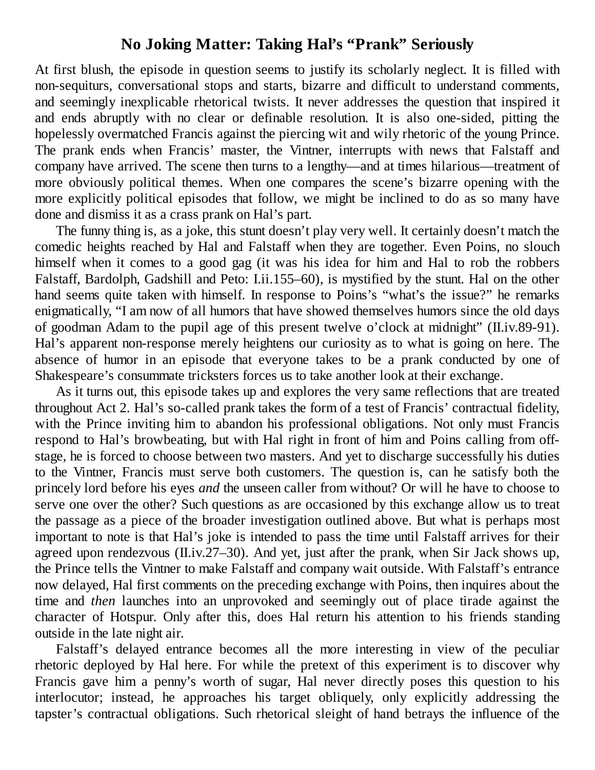#### No Joking Matter: Taking Hal's "Prank" Seriously

At first blush, the episode in question seems to justify its scholarly neglect. It is filled with non-sequiturs, conversational stops and starts, bizarre and difficult to understand comments, and seemingly inexplicable rhetorical twists. It never addresses the question that inspired it and ends abruptly with no clear or definable resolution. It is also one-sided, pitting the hopelessly overmatched Francis against the piercing wit and wily rhetoric of the young Prince. The prank ends when Francis' master, the Vintner, interrupts with news that Falstaff and company have arrived. The scene then turns to a lengthy—and at times hilarious—treatment of more obviously political themes. When one compares the scene's bizarre opening with the more explicitly political episodes that follow, we might be inclined to do as so many have done and dismiss it as a crass prank on Hal's part.

The funny thing is, as a joke, this stunt doesn't play very well. It certainly doesn't match the comedic heights reached by Hal and Falstaff when they are together. Even Poins, no slouch himself when it comes to a good gag (it was his idea for him and Hal to rob the robbers Falstaff, Bardolph, Gadshill and Peto: I.ii.155–60), is mystified by the stunt. Hal on the other hand seems quite taken with himself. In response to Poins's "what's the issue?" he remarks enigmatically, "I am now of all humors that have showed themselves humors since the old days of goodman Adam to the pupil age of this present twelve o'clock at midnight" (II.iv.89-91). Hal's apparent non-response merely heightens our curiosity as to what is going on here. The absence of humor in an episode that everyone takes to be a prank conducted by one of Shakespeare's consummate tricksters forces us to take another look at their exchange.

As it turns out, this episode takes up and explores the very same reflections that are treated throughout Act 2. Hal's so-called prank takes the form of a test of Francis' contractual fidelity, with the Prince inviting him to abandon his professional obligations. Not only must Francis respond to Hal's browbeating, but with Hal right in front of him and Poins calling from offstage, he is forced to choose between two masters. And yet to discharge successfully his duties to the Vintner, Francis must serve both customers. The question is, can he satisfy both the princely lord before his eyes *and* the unseen caller from without? Or will he have to choose to serve one over the other? Such questions as are occasioned by this exchange allow us to treat the passage as a piece of the broader investigation outlined above. But what is perhaps most important to note is that Hal's joke is intended to pass the time until Falstaff arrives for their agreed upon rendezvous (II.iv.27-30). And yet, just after the prank, when Sir Jack shows up, the Prince tells the Vintner to make Falstaff and company wait outside. With Falstaff's entrance now delayed, Hal first comments on the preceding exchange with Poins, then inquires about the time and *then* launches into an unprovoked and seemingly out of place tirade against the character of Hotspur. Only after this, does Hal return his attention to his friends standing outside in the late night air.

Falstaff's delayed entrance becomes all the more interesting in view of the peculiar rhetoric deployed by Hal here. For while the pretext of this experiment is to discover why Francis gave him a penny's worth of sugar, Hal never directly poses this question to his interlocutor; instead, he approaches his target obliquely, only explicitly addressing the tapster's contractual obligations. Such rhetorical sleight of hand betrays the influence of the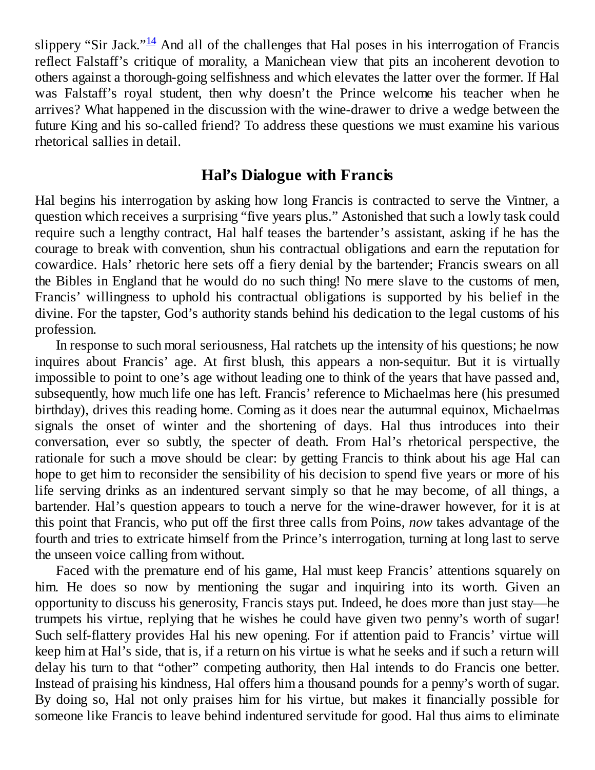slippery "Sir Jack." $\frac{14}{14}$  $\frac{14}{14}$  $\frac{14}{14}$  And all of the challenges that Hal poses in his interrogation of Francis reflect Falstaff's critique of morality, a Manichean view that pits an incoherent devotion to others against a thorough-going selfishness and which elevates the latter over the former. If Hal was Falstaff's royal student, then why doesn't the Prince welcome his teacher when he arrives? What happened in the discussion with the wine-drawer to drive a wedge between the future King and his so-called friend? To address these questions we must examine his various rhetorical sallies in detail.

#### **Hal's Dialogue with Francis**

Hal begins his interrogation by asking how long Francis is contracted to serve the Vintner, a question which receives a surprising "five years plus." Astonished that such a lowly task could require such a lengthy contract, Hal half teases the bartender's assistant, asking if he has the courage to break with convention, shun his contractual obligations and earn the reputation for cowardice. Hals' rhetoric here sets off a fiery denial by the bartender; Francis swears on all the Bibles in England that he would do no such thing! No mere slave to the customs of men, Francis' willingness to uphold his contractual obligations is supported by his belief in the divine. For the tapster, God's authority stands behind his dedication to the legal customs of his profession.

In response to such moral seriousness, Hal ratchets up the intensity of his questions; he now inquires about Francis' age. At first blush, this appears a non-sequitur. But it is virtually impossible to point to one's age without leading one to think of the years that have passed and, subsequently, how much life one has left. Francis' reference to Michaelmas here (his presumed birthday), drives this reading home. Coming as it does near the autumnal equinox, Michaelmas signals the onset of winter and the shortening of days. Hal thus introduces into their conversation, ever so subtly, the specter of death. From Hal's rhetorical perspective, the rationale for such a move should be clear: by getting Francis to think about his age Hal can hope to get him to reconsider the sensibility of his decision to spend five years or more of his life serving drinks as an indentured servant simply so that he may become, of all things, a bartender. Hal's question appears to touch a nerve for the wine-drawer however, for it is at this point that Francis, who put off the first three calls from Poins, *now* takes advantage of the fourth and tries to extricate himself from the Prince's interrogation, turning at long last to serve the unseen voice calling from without.

Faced with the premature end of his game, Hal must keep Francis' attentions squarely on him. He does so now by mentioning the sugar and inquiring into its worth. Given an opportunity to discuss his generosity, Francis stays put. Indeed, he does more than just stay—he trumpets his virtue, replying that he wishes he could have given two penny's worth of sugar! Such self-flattery provides Hal his new opening. For if attention paid to Francis' virtue will keep him at Hal's side, that is, if a return on his virtue is what he seeks and if such a return will delay his turn to that "other" competing authority, then Hal intends to do Francis one better. Instead of praising his kindness, Hal offers him a thousand pounds for a penny's worth of sugar. By doing so, Hal not only praises him for his virtue, but makes it financially possible for someone like Francis to leave behind indentured servitude for good. Hal thus aims to eliminate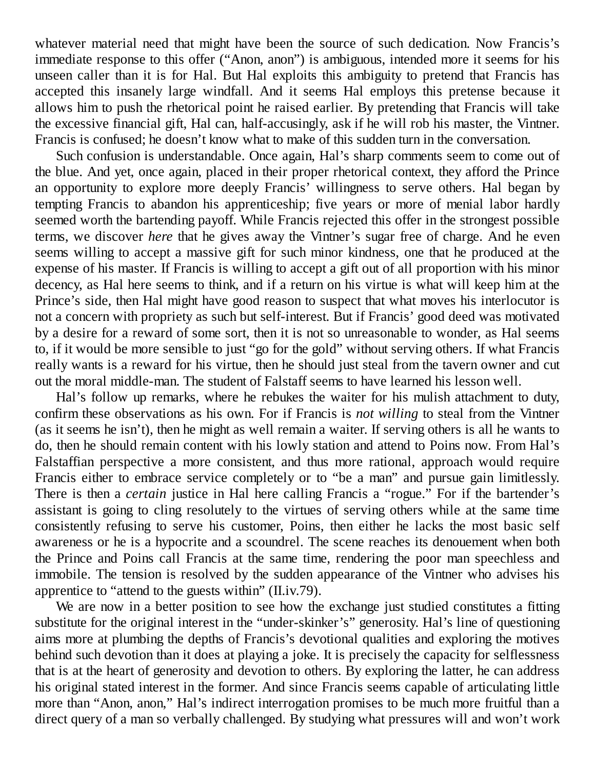whatever material need that might have been the source of such dedication. Now Francis's immediate response to this offer ("Anon, anon") is ambiguous, intended more it seems for his unseen caller than it is for Hal. But Hal exploits this ambiguity to pretend that Francis has accepted this insanely large windfall. And it seems Hal employs this pretense because it allows him to push the rhetorical point he raised earlier. By pretending that Francis will take the excessive financial gift, Hal can, half-accusingly, ask if he will rob his master, the Vintner. Francis is confused; he doesn't know what to make of this sudden turn in the conversation.

Such confusion is understandable. Once again, Hal's sharp comments seem to come out of the blue. And yet, once again, placed in their proper rhetorical context, they afford the Prince an opportunity to explore more deeply Francis' willingness to serve others. Hal began by tempting Francis to abandon his apprenticeship; five years or more of menial labor hardly seemed worth the bartending payoff. While Francis rejected this offer in the strongest possible terms, we discover *here* that he gives away the Vintner's sugar free of charge. And he even seems willing to accept a massive gift for such minor kindness, one that he produced at the expense of his master. If Francis is willing to accept a gift out of all proportion with his minor decency, as Hal here seems to think, and if a return on his virtue is what will keep him at the Prince's side, then Hal might have good reason to suspect that what moves his interlocutor is not a concern with propriety as such but self-interest. But if Francis' good deed was motivated by a desire for a reward of some sort, then it is not so unreasonable to wonder, as Hal seems to, if it would be more sensible to just "go for the gold" without serving others. If what Francis really wants is a reward for his virtue, then he should just steal from the tavern owner and cut out the moral middle-man. The student of Falstaff seems to have learned his lesson well.

Hal's follow up remarks, where he rebukes the waiter for his mulish attachment to duty, confirm these observations as his own. For if Francis is *not willing* to steal from the Vintner (as it seems he isn't), then he might as well remain a waiter. If serving others is all he wants to do, then he should remain content with his lowly station and attend to Poins now. From Hal's Falstaffian perspective a more consistent, and thus more rational, approach would require Francis either to embrace service completely or to "be a man" and pursue gain limitlessly. There is then a *certain* justice in Hal here calling Francis a "rogue." For if the bartender's assistant is going to cling resolutely to the virtues of serving others while at the same time consistently refusing to serve his customer, Poins, then either he lacks the most basic self awareness or he is a hypocrite and a scoundrel. The scene reaches its denouement when both the Prince and Poins call Francis at the same time, rendering the poor man speechless and immobile. The tension is resolved by the sudden appearance of the Vintner who advises his apprentice to "attend to the guests within"  $(II.iv.79)$ .

We are now in a better position to see how the exchange just studied constitutes a fitting substitute for the original interest in the "under-skinker's" generosity. Hal's line of questioning aims more at plumbing the depths of Francis's devotional qualities and exploring the motives behind such devotion than it does at playing a joke. It is precisely the capacity for selflessness that is at the heart of generosity and devotion to others. By exploring the latter, he can address his original stated interest in the former. And since Francis seems capable of articulating little more than "Anon, anon," Hal's indirect interrogation promises to be much more fruitful than a direct query of a man so verbally challenged. By studying what pressures will and won't work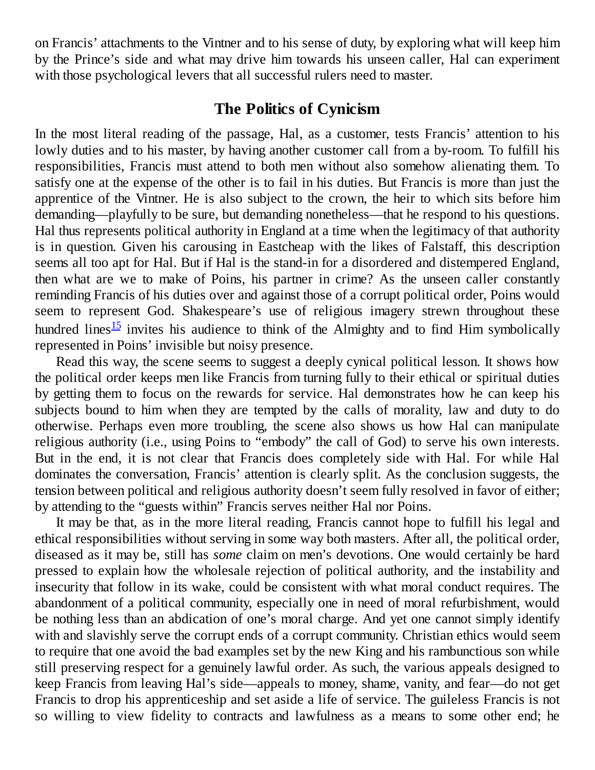on Francis' attachments to the Vintner and to his sense of duty, by exploring what will keep him by the Prince's side and what may drive him towards his unseen caller, Hal can experiment with those psychological levers that all successful rulers need to master.

#### **The Politics of Cynicism**

In the most literal reading of the passage, Hal, as a customer, tests Francis' attention to his lowly duties and to his master, by having another customer call from a by-room. To fulfill his responsibilities, Francis must attend to both men without also somehow alienating them. To satisfy one at the expense of the other is to fail in his duties. But Francis is more than just the apprentice of the Vintner. He is also subject to the crown, the heir to which sits before him demanding—playfully to be sure, but demanding nonetheless—that he respond to his questions. Hal thus represents political authority in England at a time when the legitimacy of that authority is in question. Given his carousing in Eastcheap with the likes of Falstaff, this description seems all too apt for Hal. But if Hal is the stand-in for a disordered and distempered England, then what are we to make of Poins, his partner in crime? As the unseen caller constantly reminding Francis of his duties over and against those of a corrupt political order, Poins would seem to represent God. Shakespeare's use of religious imagery strewn throughout these hundred lines<sup>[15](#page-19-4)</sup> invites his audience to think of the Almighty and to find Him symbolically represented in Poins' invisible but noisy presence.

Read this way, the scene seems to suggest a deeply cynical political lesson. It shows how the political order keeps men like Francis from turning fully to their ethical or spiritual duties by getting them to focus on the rewards for service. Hal demonstrates how he can keep his subjects bound to him when they are tempted by the calls of morality, law and duty to do otherwise. Perhaps even more troubling, the scene also shows us how Hal can manipulate religious authority (i.e., using Poins to "embody" the call of God) to serve his own interests. But in the end, it is not clear that Francis does completely side with Hal. For while Hal dominates the conversation, Francis' attention is clearly split. As the conclusion suggests, the tension between political and religious authority doesn't seem fully resolved in favor of either; by attending to the "guests within" Francis serves neither Hal nor Poins.

It may be that, as in the more literal reading, Francis cannot hope to fulfill his legal and ethical responsibilities without serving in some way both masters. After all, the political order, diseased as it may be, still has *some* claim on men's devotions. One would certainly be hard pressed to explain how the wholesale rejection of political authority, and the instability and insecurity that follow in its wake, could be consistent with what moral conduct requires. The abandonment of a political community, especially one in need of moral refurbishment, would be nothing less than an abdication of one's moral charge. And yet one cannot simply identify with and slavishly serve the corrupt ends of a corrupt community. Christian ethics would seem to require that one avoid the bad examples set by the new King and his rambunctious son while still preserving respect for a genuinely lawful order. As such, the various appeals designed to keep Francis from leaving Hal's side—appeals to money, shame, vanity, and fear—do not get Francis to drop his apprenticeship and set aside a life of service. The guileless Francis is not so willing to view fidelity to contracts and lawfulness as a means to some other end; he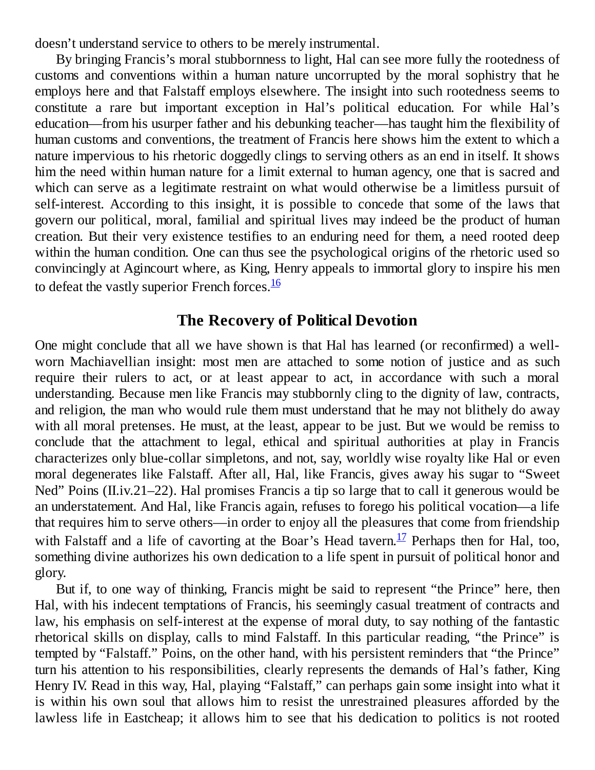doesn't understand service to others to be merely instrumental.

By bringing Francis's moral stubbornness to light, Hal can see more fully the rootedness of customs and conventions within a human nature uncorrupted by the moral sophistry that he employs here and that Falstaff employs elsewhere. The insight into such rootedness seems to constitute a rare but important exception in Hal's political education. For while Hal's education—from his usurper father and his debunking teacher—has taught him the flexibility of human customs and conventions, the treatment of Francis here shows him the extent to which a nature impervious to his rhetoric doggedly clings to serving others as an end in itself. It shows him the need within human nature for a limit external to human agency, one that is sacred and which can serve as a legitimate restraint on what would otherwise be a limitless pursuit of self-interest. According to this insight, it is possible to concede that some of the laws that govern our political, moral, familial and spiritual lives may indeed be the product of human creation. But their very existence testifies to an enduring need for them, a need rooted deep within the human condition. One can thus see the psychological origins of the rhetoric used so convincingly at Agincourt where, as King, Henry appeals to immortal glory to inspire his men to defeat the vastly superior French forces. $\frac{16}{16}$  $\frac{16}{16}$  $\frac{16}{16}$ 

#### **The Recovery of Political Devotion**

One might conclude that all we have shown is that Hal has learned (or reconfirmed) a wellworn Machiavellian insight: most men are attached to some notion of justice and as such require their rulers to act, or at least appear to act, in accordance with such a moral understanding. Because men like Francis may stubbornly cling to the dignity of law, contracts, and religion, the man who would rule them must understand that he may not blithely do away with all moral pretenses. He must, at the least, appear to be just. But we would be remiss to conclude that the attachment to legal, ethical and spiritual authorities at play in Francis characterizes only blue-collar simpletons, and not, say, worldly wise royalty like Hal or even moral degenerates like Falstaff. After all, Hal, like Francis, gives away his sugar to "Sweet Ned" Poins (II.iv.21–22). Hal promises Francis a tip so large that to call it generous would be an understatement. And Hal, like Francis again, refuses to forego his political vocation—a life that requires him to serve others—in order to enjoy all the pleasures that come from friendship with Falstaff and a life of cavorting at the Boar's Head tavern.<sup>[17](#page-19-6)</sup> Perhaps then for Hal, too, something divine authorizes his own dedication to a life spent in pursuit of political honor and glory.

But if, to one way of thinking, Francis might be said to represent "the Prince" here, then Hal, with his indecent temptations of Francis, his seemingly casual treatment of contracts and law, his emphasis on self-interest at the expense of moral duty, to say nothing of the fantastic rhetorical skills on display, calls to mind Falstaff. In this particular reading, "the Prince" is tempted by "Falstaff." Poins, on the other hand, with his persistent reminders that "the Prince" turn his attention to his responsibilities, clearly represents the demands of Hal's father, King Henry IV. Read in this way, Hal, playing "Falstaff," can perhaps gain some insight into what it is within his own soul that allows him to resist the unrestrained pleasures afforded by the lawless life in Eastcheap; it allows him to see that his dedication to politics is not rooted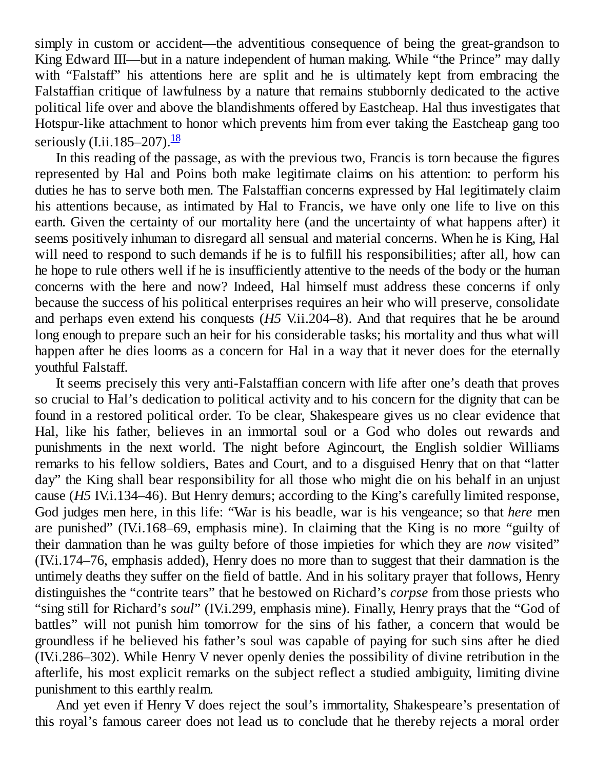simply in custom or accident—the adventitious consequence of being the great-grandson to King Edward III—but in a nature independent of human making. While "the Prince" may dally with "Falstaff" his attentions here are split and he is ultimately kept from embracing the Falstaffian critique of lawfulness by a nature that remains stubbornly dedicated to the active political life over and above the blandishments offered by Eastcheap. Hal thus investigates that Hotspur-like attachment to honor which prevents him from ever taking the Eastcheap gang too seriously  $(I.ii.185-207).$  $(I.ii.185-207).$  $(I.ii.185-207).$ <sup>18</sup>

In this reading of the passage, as with the previous two, Francis is torn because the figures represented by Hal and Poins both make legitimate claims on his attention: to perform his duties he has to serve both men. The Falstaffian concerns expressed by Hal legitimately claim his attentions because, as intimated by Hal to Francis, we have only one life to live on this earth. Given the certainty of our mortality here (and the uncertainty of what happens after) it seems positively inhuman to disregard all sensual and material concerns. When he is King, Hal will need to respond to such demands if he is to fulfill his responsibilities; after all, how can he hope to rule others well if he is insufficiently attentive to the needs of the body or the human concerns with the here and now? Indeed, Hal himself must address these concerns if only because the success of his political enterprises requires an heir who will preserve, consolidate and perhaps even extend his conquests (*H5* V.ii.204–8). And that requires that he be around long enough to prepare such an heir for his considerable tasks; his mortality and thus what will happen after he dies looms as a concern for Hal in a way that it never does for the eternally youthful Falstaff.

It seems precisely this very anti-Falstaffian concern with life after one's death that proves so crucial to Hal's dedication to political activity and to his concern for the dignity that can be found in a restored political order. To be clear, Shakespeare gives us no clear evidence that Hal, like his father, believes in an immortal soul or a God who doles out rewards and punishments in the next world. The night before Agincourt, the English soldier Williams remarks to his fellow soldiers, Bates and Court, and to a disguised Henry that on that "latter day" the King shall bear responsibility for all those who might die on his behalf in an unjust cause (*H5* IV.i.134–46). But Henry demurs; according to the King's carefully limited response, God judges men here, in this life: "War is his beadle, war is his vengeance; so that *here* men are punished" (IV.i.168–69, emphasis mine). In claiming that the King is no more "guilty of their damnation than he was guilty before of those impieties for which they are *now* visited" (IV.i.174–76, emphasis added), Henry does no more than to suggest that their damnation is the untimely deaths they suffer on the field of battle. And in his solitary prayer that follows, Henry distinguishes the "contrite tears" that he bestowed on Richard's *corpse* from those priests who "sing still for Richard's soul" (IV.i.299, emphasis mine). Finally, Henry prays that the "God of battles" will not punish him tomorrow for the sins of his father, a concern that would be groundless if he believed his father's soul was capable of paying for such sins after he died (IV.i.286–302). While Henry V never openly denies the possibility of divine retribution in the afterlife, his most explicit remarks on the subject reflect a studied ambiguity, limiting divine punishment to this earthly realm.

And yet even if Henry V does reject the soul's immortality, Shakespeare's presentation of this royal's famous career does not lead us to conclude that he thereby rejects a moral order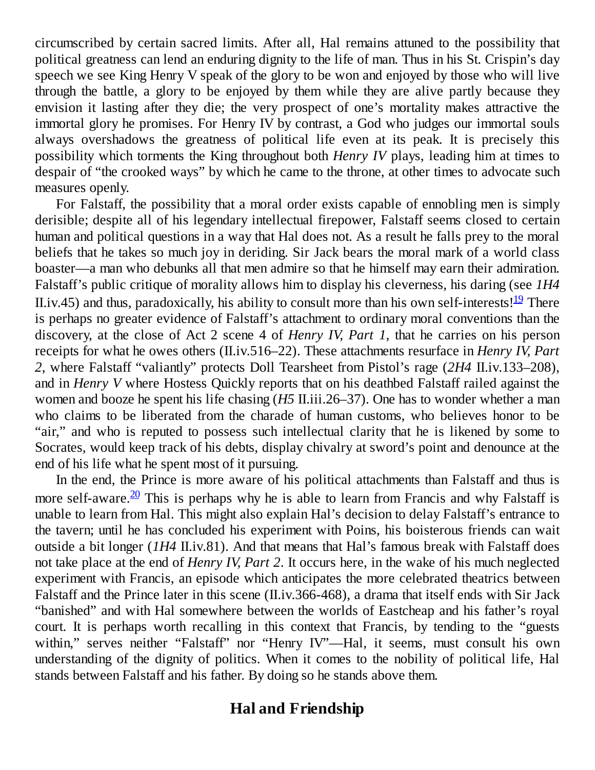circumscribed by certain sacred limits. After all, Hal remains attuned to the possibility that political greatness can lend an enduring dignity to the life of man. Thus in his St. Crispin's day speech we see King Henry V speak of the glory to be won and enjoyed by those who will live through the battle, a glory to be enjoyed by them while they are alive partly because they envision it lasting after they die; the very prospect of one's mortality makes attractive the immortal glory he promises. For Henry IV by contrast, a God who judges our immortal souls always overshadows the greatness of political life even at its peak. It is precisely this possibility which torments the King throughout both *Henry IV* plays, leading him at times to despair of "the crooked ways" by which he came to the throne, at other times to advocate such measures openly.

For Falstaff, the possibility that a moral order exists capable of ennobling men is simply derisible; despite all of his legendary intellectual firepower, Falstaff seems closed to certain human and political questions in a way that Hal does not. As a result he falls prey to the moral beliefs that he takes so much joy in deriding. Sir Jack bears the moral mark of a world class boaster—a man who debunks all that men admire so that he himself may earn their admiration. Falstaff's public critique of morality allows him to display his cleverness, his daring (see 1H4 II.iv.45) and thus, paradoxically, his ability to consult more than his own self-interests! $1^{19}$  $1^{19}$  $1^{19}$  There is perhaps no greater evidence of Falstaff's attachment to ordinary moral conventions than the discovery, at the close of Act 2 scene 4 of *Henry IV, Part 1*, that he carries on his person receipts for what he owes others (II.iv.516–22). These attachments resurface in *Henry IV, Part* 2, where Falstaff "valiantly" protects Doll Tearsheet from Pistol's rage (2H4 II.iv.133–208), and in *Henry V* where Hostess Quickly reports that on his deathbed Falstaff railed against the women and booze he spent his life chasing (*H5* II.iii.26–37). One has to wonder whether a man who claims to be liberated from the charade of human customs, who believes honor to be "air," and who is reputed to possess such intellectual clarity that he is likened by some to Socrates, would keep track of his debts, display chivalry at sword's point and denounce at the end of his life what he spent most of it pursuing.

In the end, the Prince is more aware of his political attachments than Falstaff and thus is more self-aware.<sup>[20](#page-19-9)</sup> This is perhaps why he is able to learn from Francis and why Falstaff is unable to learn from Hal. This might also explain Hal's decision to delay Falstaff's entrance to the tavern; until he has concluded his experiment with Poins, his boisterous friends can wait outside a bit longer (1H4 II.iv.81). And that means that Hal's famous break with Falstaff does not take place at the end of *Henry IV, Part 2*. It occurs here, in the wake of his much neglected experiment with Francis, an episode which anticipates the more celebrated theatrics between Falstaff and the Prince later in this scene (II.iv.366-468), a drama that itself ends with Sir Jack "banished" and with Hal somewhere between the worlds of Eastcheap and his father's royal court. It is perhaps worth recalling in this context that Francis, by tending to the "guests" within," serves neither "Falstaff" nor "Henry IV"—Hal, it seems, must consult his own understanding of the dignity of politics. When it comes to the nobility of political life, Hal stands between Falstaff and his father. By doing so he stands above them.

## **Hal and Friendship**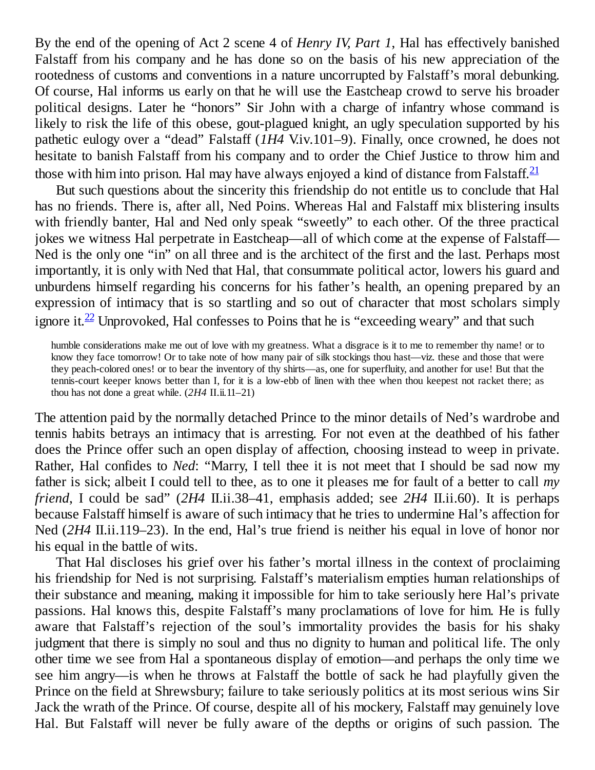By the end of the opening of Act 2 scene 4 of *Henry IV, Part 1*, Hal has effectively banished Falstaff from his company and he has done so on the basis of his new appreciation of the rootedness of customs and conventions in a nature uncorrupted by Falstaff's moral debunking. Of course, Hal informs us early on that he will use the Eastcheap crowd to serve his broader political designs. Later he "honors" Sir John with a charge of infantry whose command is likely to risk the life of this obese, gout-plagued knight, an ugly speculation supported by his pathetic eulogy over a "dead" Falstaff (1H4 V.iv.101–9). Finally, once crowned, he does not hesitate to banish Falstaff from his company and to order the Chief Justice to throw him and those with him into prison. Hal may have always enjoyed a kind of distance from Falstaff. $\frac{21}{2}$  $\frac{21}{2}$  $\frac{21}{2}$ 

But such questions about the sincerity this friendship do not entitle us to conclude that Hal has no friends. There is, after all, Ned Poins. Whereas Hal and Falstaff mix blistering insults with friendly banter, Hal and Ned only speak "sweetly" to each other. Of the three practical jokes we witness Hal perpetrate in Eastcheap—all of which come at the expense of Falstaff— Ned is the only one "in" on all three and is the architect of the first and the last. Perhaps most importantly, it is only with Ned that Hal, that consummate political actor, lowers his guard and unburdens himself regarding his concerns for his father's health, an opening prepared by an expression of intimacy that is so startling and so out of character that most scholars simply ignore it.<sup>[22](#page-19-11)</sup> Unprovoked, Hal confesses to Poins that he is "exceeding weary" and that such

humble considerations make me out of love with my greatness. What a disgrace is it to me to remember thy name! or to know they face tomorrow! Or to take note of how many pair of silk stockings thou hast—viz. these and those that were they peach-colored ones! or to bear the inventory of thy shirts—as, one for superfluity, and another for use! But that the tennis-court keeper knows better than I, for it is a low-ebb of linen with thee when thou keepest not racket there; as thou has not done a great while.  $(2H4 \text{ II.}ii.11-21)$ 

The attention paid by the normally detached Prince to the minor details of Ned's wardrobe and tennis habits betrays an intimacy that is arresting. For not even at the deathbed of his father does the Prince offer such an open display of affection, choosing instead to weep in private. Rather, Hal confides to *Ned*: "Marry, I tell thee it is not meet that I should be sad now my father is sick; albeit I could tell to thee, as to one it pleases me for fault of a better to call *my friend*, I could be sad" (*2H4* II.ii.38–41, emphasis added; see *2H4* II.ii.60). It is perhaps because Falstaff himself is aware of such intimacy that he tries to undermine Hal's affection for Ned (2H4 II.ii.119–23). In the end, Hal's true friend is neither his equal in love of honor nor his equal in the battle of wits.

That Hal discloses his grief over his father's mortal illness in the context of proclaiming his friendship for Ned is not surprising. Falstaff's materialism empties human relationships of their substance and meaning, making it impossible for him to take seriously here Hal's private passions. Hal knows this, despite Falstaff's many proclamations of love for him. He is fully aware that Falstaff's rejection of the soul's immortality provides the basis for his shaky judgment that there is simply no soul and thus no dignity to human and political life. The only other time we see from Hal a spontaneous display of emotion—and perhaps the only time we see him angry—is when he throws at Falstaff the bottle of sack he had playfully given the Prince on the field at Shrewsbury; failure to take seriously politics at its most serious wins Sir Jack the wrath of the Prince. Of course, despite all of his mockery, Falstaff may genuinely love Hal. But Falstaff will never be fully aware of the depths or origins of such passion. The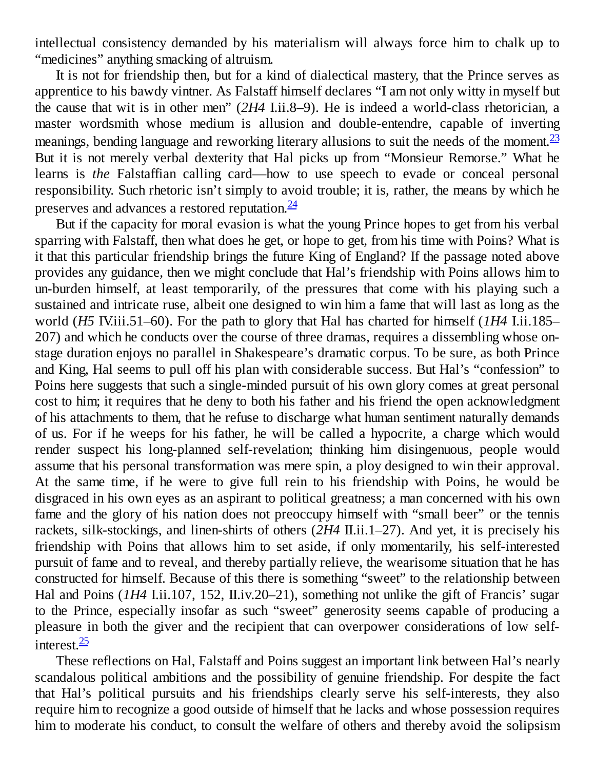intellectual consistency demanded by his materialism will always force him to chalk up to "medicines" anything smacking of altruism.

It is not for friendship then, but for a kind of dialectical mastery, that the Prince serves as apprentice to his bawdy vintner. As Falstaff himself declares "I am not only witty in myself but the cause that wit is in other men" (2H4 I.ii.8–9). He is indeed a world-class rhetorician, a master wordsmith whose medium is allusion and double-entendre, capable of inverting meanings, bending language and reworking literary allusions to suit the needs of the moment.<sup>[23](#page-20-0)</sup> But it is not merely verbal dexterity that Hal picks up from "Monsieur Remorse." What he learns is *the* Falstaffian calling card—how to use speech to evade or conceal personal responsibility. Such rhetoric isn't simply to avoid trouble; it is, rather, the means by which he preserves and advances a restored reputation. $\frac{24}{3}$  $\frac{24}{3}$  $\frac{24}{3}$ 

But if the capacity for moral evasion is what the young Prince hopes to get from his verbal sparring with Falstaff, then what does he get, or hope to get, from his time with Poins? What is it that this particular friendship brings the future King of England? If the passage noted above provides any guidance, then we might conclude that Hal's friendship with Poins allows him to un-burden himself, at least temporarily, of the pressures that come with his playing such a sustained and intricate ruse, albeit one designed to win him a fame that will last as long as the world (*H5* IV.iii.51–60). For the path to glory that Hal has charted for himself (1H4 I.ii.185– 207) and which he conducts over the course of three dramas, requires a dissembling whose onstage duration enjoys no parallel in Shakespeare's dramatic corpus. To be sure, as both Prince and King, Hal seems to pull off his plan with considerable success. But Hal's "confession" to Poins here suggests that such a single-minded pursuit of his own glory comes at great personal cost to him; it requires that he deny to both his father and his friend the open acknowledgment of his attachments to them, that he refuse to discharge what human sentiment naturally demands of us. For if he weeps for his father, he will be called a hypocrite, a charge which would render suspect his long-planned self-revelation; thinking him disingenuous, people would assume that his personal transformation was mere spin, a ploy designed to win their approval. At the same time, if he were to give full rein to his friendship with Poins, he would be disgraced in his own eves as an aspirant to political greatness; a man concerned with his own fame and the glory of his nation does not preoccupy himself with "small beer" or the tennis rackets, silk-stockings, and linen-shirts of others (2H4 II.ii.1–27). And yet, it is precisely his friendship with Poins that allows him to set aside, if only momentarily, his self-interested pursuit of fame and to reveal, and thereby partially relieve, the wearisome situation that he has constructed for himself. Because of this there is something "sweet" to the relationship between Hal and Poins (1H4 I.ii.107, 152, II.iv.20–21), something not unlike the gift of Francis' sugar to the Prince, especially insofar as such "sweet" generosity seems capable of producing a pleasure in both the giver and the recipient that can overpower considerations of low self-interest.<sup>[25](#page-20-2)</sup>

These reflections on Hal, Falstaff and Poins suggest an important link between Hal's nearly scandalous political ambitions and the possibility of genuine friendship. For despite the fact that Hal's political pursuits and his friendships clearly serve his self-interests, they also require him to recognize a good outside of himself that he lacks and whose possession requires him to moderate his conduct, to consult the welfare of others and thereby avoid the solipsism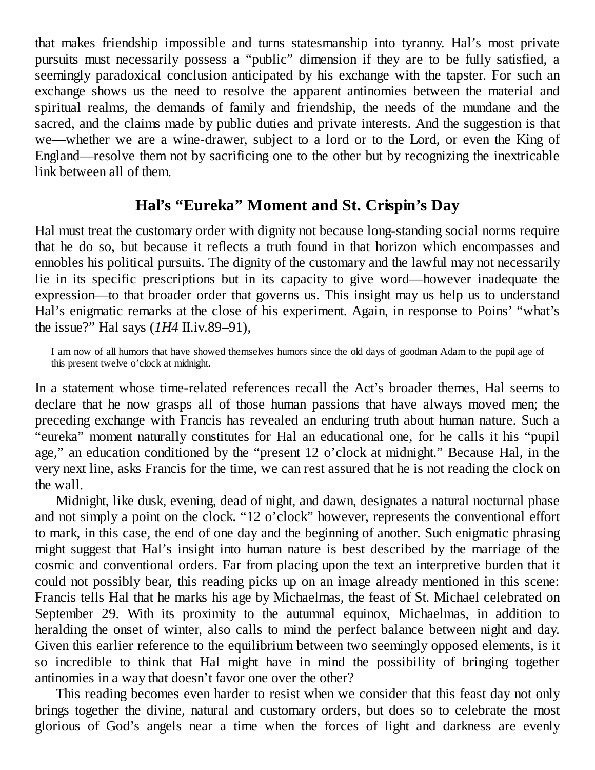that makes friendship impossible and turns statesmanship into tyranny. Hal's most private pursuits must necessarily possess a "public" dimension if they are to be fully satisfied, a seemingly paradoxical conclusion anticipated by his exchange with the tapster. For such an exchange shows us the need to resolve the apparent antinomies between the material and spiritual realms, the demands of family and friendship, the needs of the mundane and the sacred, and the claims made by public duties and private interests. And the suggestion is that we—whether we are a wine-drawer, subject to a lord or to the Lord, or even the King of England—resolve them not by sacrificing one to the other but by recognizing the inextricable link between all of them.

### Hal's "Eureka" Moment and St. Crispin's Day

Hal must treat the customary order with dignity not because long-standing social norms require that he do so, but because it reflects a truth found in that horizon which encompasses and ennobles his political pursuits. The dignity of the customary and the lawful may not necessarily lie in its specific prescriptions but in its capacity to give word—however inadequate the expression—to that broader order that governs us. This insight may us help us to understand Hal's enigmatic remarks at the close of his experiment. Again, in response to Poins' "what's the issue?" Hal says  $(1H4 \text{ II}$ .iv.89–91),

I am now of all humors that have showed themselves humors since the old days of goodman Adam to the pupil age of this present twelve o'clock at midnight.

In a statement whose time-related references recall the Act's broader themes, Hal seems to declare that he now grasps all of those human passions that have always moved men; the preceding exchange with Francis has revealed an enduring truth about human nature. Such a "eureka" moment naturally constitutes for Hal an educational one, for he calls it his "pupil" age," an education conditioned by the "present 12 o'clock at midnight." Because Hal, in the very next line, asks Francis for the time, we can rest assured that he is not reading the clock on the wall.

Midnight, like dusk, evening, dead of night, and dawn, designates a natural nocturnal phase and not simply a point on the clock. "12 o'clock" however, represents the conventional effort to mark, in this case, the end of one day and the beginning of another. Such enigmatic phrasing might suggest that Hal's insight into human nature is best described by the marriage of the cosmic and conventional orders. Far from placing upon the text an interpretive burden that it could not possibly bear, this reading picks up on an image already mentioned in this scene: Francis tells Hal that he marks his age by Michaelmas, the feast of St. Michael celebrated on September 29. With its proximity to the autumnal equinox, Michaelmas, in addition to heralding the onset of winter, also calls to mind the perfect balance between night and day. Given this earlier reference to the equilibrium between two seemingly opposed elements, is it so incredible to think that Hal might have in mind the possibility of bringing together antinomies in a way that doesn't favor one over the other?

This reading becomes even harder to resist when we consider that this feast day not only brings together the divine, natural and customary orders, but does so to celebrate the most glorious of God's angels near a time when the forces of light and darkness are evenly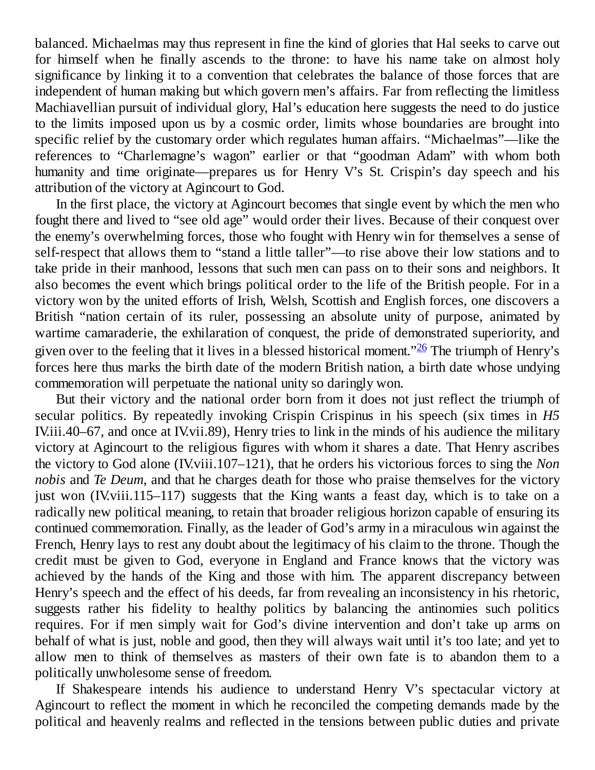balanced. Michaelmas may thus represent in fine the kind of glories that Hal seeks to carve out for himself when he finally ascends to the throne: to have his name take on almost holy significance by linking it to a convention that celebrates the balance of those forces that are independent of human making but which govern men's affairs. Far from reflecting the limitless Machiavellian pursuit of individual glory, Hal's education here suggests the need to do justice to the limits imposed upon us by a cosmic order, limits whose boundaries are brought into specific relief by the customary order which regulates human affairs. "Michaelmas"—like the references to "Charlemagne's wagon" earlier or that "goodman Adam" with whom both humanity and time originate—prepares us for Henry V's St. Crispin's day speech and his attribution of the victory at Agincourt to God.

In the first place, the victory at Agincourt becomes that single event by which the men who fought there and lived to "see old age" would order their lives. Because of their conquest over the enemy's overwhelming forces, those who fought with Henry win for themselves a sense of self-respect that allows them to "stand a little taller"—to rise above their low stations and to take pride in their manhood, lessons that such men can pass on to their sons and neighbors. It also becomes the event which brings political order to the life of the British people. For in a victory won by the united efforts of Irish, Welsh, Scottish and English forces, one discovers a British "nation certain of its ruler, possessing an absolute unity of purpose, animated by wartime camaraderie, the exhilaration of conquest, the pride of demonstrated superiority, and given over to the feeling that it lives in a blessed historical moment." $26$  The triumph of Henry's forces here thus marks the birth date of the modern British nation, a birth date whose undying commemoration will perpetuate the national unity so daringly won.

But their victory and the national order born from it does not just reflect the triumph of secular politics. By repeatedly invoking Crispin Crispinus in his speech (six times in *H5*) IV.iii.40–67, and once at IV.vii.89), Henry tries to link in the minds of his audience the military victory at Agincourt to the religious figures with whom it shares a date. That Henry ascribes the victory to God alone (IV.viii.107–121), that he orders his victorious forces to sing the *Non nobis* and *Te Deum*, and that he charges death for those who praise themselves for the victory just won (IV.viii.115–117) suggests that the King wants a feast day, which is to take on a radically new political meaning, to retain that broader religious horizon capable of ensuring its continued commemoration. Finally, as the leader of God's army in a miraculous win against the French, Henry lays to rest any doubt about the legitimacy of his claim to the throne. Though the credit must be given to God, everyone in England and France knows that the victory was achieved by the hands of the King and those with him. The apparent discrepancy between Henry's speech and the effect of his deeds, far from revealing an inconsistency in his rhetoric, suggests rather his fidelity to healthy politics by balancing the antinomies such politics requires. For if men simply wait for God's divine intervention and don't take up arms on behalf of what is just, noble and good, then they will always wait until it's too late; and yet to allow men to think of themselves as masters of their own fate is to abandon them to a politically unwholesome sense of freedom.

If Shakespeare intends his audience to understand Henry V's spectacular victory at Agincourt to reflect the moment in which he reconciled the competing demands made by the political and heavenly realms and reflected in the tensions between public duties and private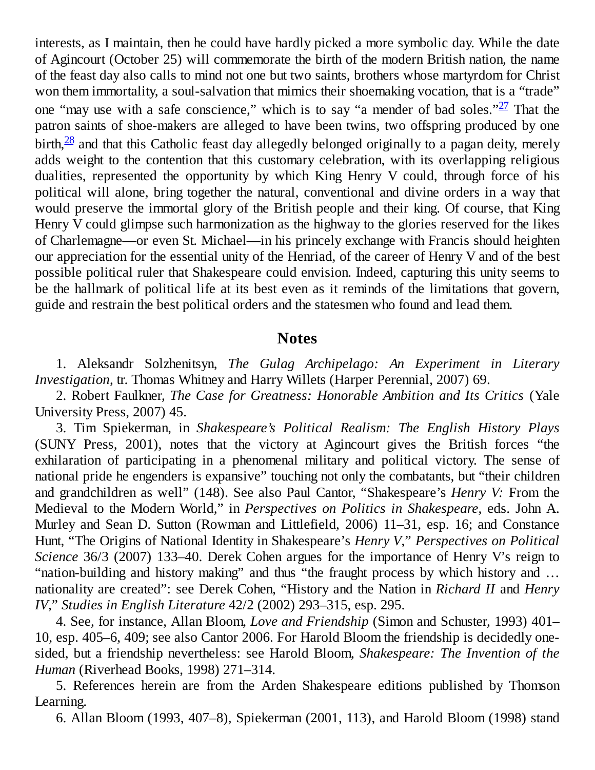interests, as I maintain, then he could have hardly picked a more symbolic day. While the date of Agincourt (October 25) will commemorate the birth of the modern British nation, the name of the feast day also calls to mind not one but two saints, brothers whose martyrdom for Christ won them immortality, a soul-salvation that mimics their shoemaking vocation, that is a "trade" one "may use with a safe conscience," which is to say "a mender of bad soles." $27$  That the patron saints of shoe-makers are alleged to have been twins, two offspring produced by one birth, $\frac{28}{3}$  $\frac{28}{3}$  $\frac{28}{3}$  and that this Catholic feast day allegedly belonged originally to a pagan deity, merely adds weight to the contention that this customary celebration, with its overlapping religious dualities, represented the opportunity by which King Henry V could, through force of his political will alone, bring together the natural, conventional and divine orders in a way that would preserve the immortal glory of the British people and their king. Of course, that King Henry V could glimpse such harmonization as the highway to the glories reserved for the likes of Charlemagne—or even St. Michael—in his princely exchange with Francis should heighten our appreciation for the essential unity of the Henriad, of the career of Henry V and of the best possible political ruler that Shakespeare could envision. Indeed, capturing this unity seems to be the hallmark of political life at its best even as it reminds of the limitations that govern, guide and restrain the best political orders and the statesmen who found and lead them.

#### **Notes**

<span id="page-17-0"></span>1. Aleksandr Solzhenitsyn, *The Gulag Archipelago: An Experiment in Literary Investigation*, tr. Thomas Whitney and Harry Willets (Harper Perennial, 2007) 69.

<span id="page-17-1"></span>2. Robert Faulkner, *The Case for Greatness: Honorable Ambition and Its Critics* (Yale University Press, 2007) 45.

<span id="page-17-2"></span>3. Tim Spiekerman, in *Shakespeare's Political Realism: The English History Plays* (SUNY Press, 2001), notes that the victory at Agincourt gives the British forces "the exhilaration of participating in a phenomenal military and political victory. The sense of national pride he engenders is expansive" touching not only the combatants, but "their children and grandchildren as well" (148). See also Paul Cantor, "Shakespeare's *Henry V:* From the Medieval to the Modern World," in *Perspectives* on *Politics* in *Shakespeare*, eds. John A. Murley and Sean D. Sutton (Rowman and Littlefield, 2006) 11–31, esp. 16; and Constance Hunt, "The Origins of National Identity in Shakespeare's *Henry V*," *Perspectives* on *Political Science* 36/3 (2007) 133–40. Derek Cohen argues for the importance of Henry V's reign to "nation-building and history making" and thus "the fraught process by which history and ... nationality are created": see Derek Cohen, "History and the Nation in *Richard II* and *Henry IV*," *Studies in English Literature* 42/2 (2002) 293–315, esp. 295.

<span id="page-17-3"></span>4. See, for instance, Allan Bloom, *Love and Friendship* (Simon and Schuster, 1993) 401– 10, esp. 405–6, 409; see also Cantor 2006. For Harold Bloom the friendship is decidedly onesided, but a friendship nevertheless: see Harold Bloom, *Shakespeare: The Invention of the Human* (Riverhead Books, 1998) 271–314.

<span id="page-17-4"></span>5. References herein are from the Arden Shakespeare editions published by Thomson Learning.

<span id="page-17-5"></span>6. Allan Bloom (1993, 407–8), Spiekerman (2001, 113), and Harold Bloom (1998) stand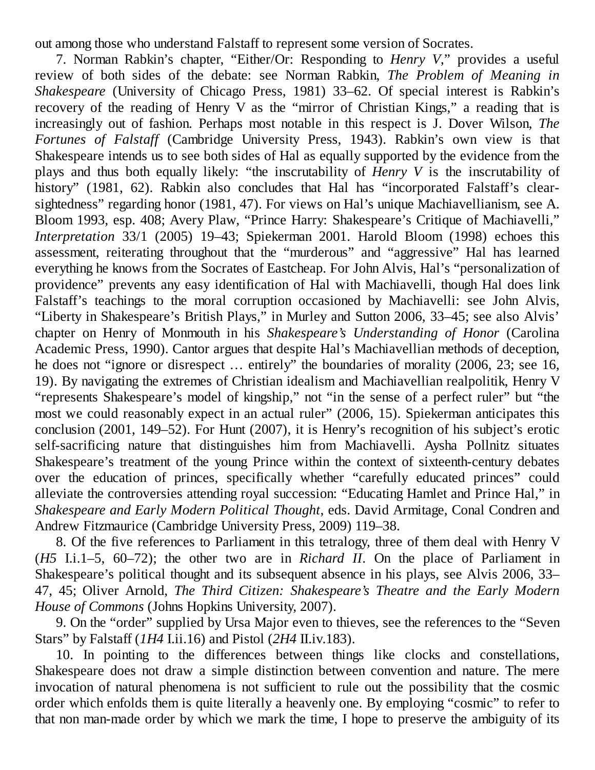out among those who understand Falstaff to represent some version of Socrates.

<span id="page-18-0"></span>7. Norman Rabkin's chapter, "Either/Or: Responding to *Henry V*," provides a useful review of both sides of the debate: see Norman Rabkin, *The Problem of Meaning in Shakespeare* (University of Chicago Press, 1981) 33–62. Of special interest is Rabkin's recovery of the reading of Henry V as the "mirror of Christian Kings," a reading that is increasingly out of fashion. Perhaps most notable in this respect is J. Dover Wilson, *The Fortunes of Falstaff* (Cambridge University Press, 1943). Rabkin's own view is that Shakespeare intends us to see both sides of Hal as equally supported by the evidence from the plays and thus both equally likely: "the inscrutability of *Henry*  $V$  is the inscrutability of history" (1981, 62). Rabkin also concludes that Hal has "incorporated Falstaff's clearsightedness" regarding honor (1981, 47). For views on Hal's unique Machiavellianism, see A. Bloom 1993, esp. 408; Avery Plaw, "Prince Harry: Shakespeare's Critique of Machiavelli," *Interpretation* 33/1 (2005) 19–43; Spiekerman 2001. Harold Bloom (1998) echoes this assessment, reiterating throughout that the "murderous" and "aggressive" Hal has learned everything he knows from the Socrates of Eastcheap. For John Alvis, Hal's "personalization of providence" prevents any easy identification of Hal with Machiavelli, though Hal does link Falstaff's teachings to the moral corruption occasioned by Machiavelli: see John Alvis, "Liberty in Shakespeare's British Plays," in Murley and Sutton 2006, 33-45; see also Alvis' chapter on Henry of Monmouth in his Shakespeare's Understanding of Honor (Carolina Academic Press, 1990). Cantor argues that despite Hal's Machiavellian methods of deception, he does not "ignore or disrespect  $\ldots$  entirely" the boundaries of morality (2006, 23; see 16, 19). By navigating the extremes of Christian idealism and Machiavellian realpolitik, Henry V "represents Shakespeare's model of kingship," not "in the sense of a perfect ruler" but "the most we could reasonably expect in an actual ruler" (2006, 15). Spiekerman anticipates this conclusion  $(2001, 149-52)$ . For Hunt  $(2007)$ , it is Henry's recognition of his subject's erotic self-sacrificing nature that distinguishes him from Machiavelli. Aysha Pollnitz situates Shakespeare's treatment of the young Prince within the context of sixteenth-century debates over the education of princes, specifically whether "carefully educated princes" could alleviate the controversies attending royal succession: "Educating Hamlet and Prince Hal," in *Shakespeare and Early Modern Political Thought*, eds. David Armitage, Conal Condren and Andrew Fitzmaurice (Cambridge University Press, 2009) 119–38.

<span id="page-18-1"></span>8. Of the five references to Parliament in this tetralogy, three of them deal with Henry V  $(H5$  I.i.1–5,  $60-72$ ); the other two are in *Richard II*. On the place of Parliament in Shakespeare's political thought and its subsequent absence in his plays, see Alvis 2006, 33– 47, 45; Oliver Arnold, *The Third Citizen: Shakespeare's Theatre and the Early Modern House of Commons* (Johns Hopkins University, 2007).

<span id="page-18-2"></span>9. On the "order" supplied by Ursa Major even to thieves, see the references to the "Seven Stars" by Falstaff (*1H4* I.ii.16) and Pistol (*2H4* II.iv.183).

<span id="page-18-3"></span>10. In pointing to the differences between things like clocks and constellations, Shakespeare does not draw a simple distinction between convention and nature. The mere invocation of natural phenomena is not sufficient to rule out the possibility that the cosmic order which enfolds them is quite literally a heavenly one. By employing "cosmic" to refer to that non man-made order by which we mark the time, I hope to preserve the ambiguity of its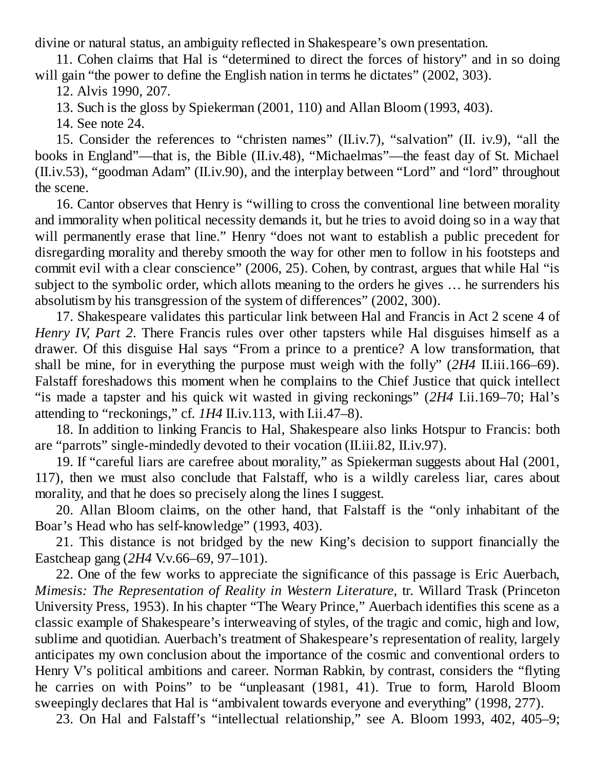divine or natural status, an ambiguity reflected in Shakespeare's own presentation.

<span id="page-19-0"></span>11. Cohen claims that Hal is "determined to direct the forces of history" and in so doing will gain "the power to define the English nation in terms he dictates" (2002, 303).

<span id="page-19-1"></span>12. Alvis 1990, 207.

<span id="page-19-2"></span>13. Such is the gloss by Spiekerman (2001, 110) and Allan Bloom (1993, 403).

14. See note 24.

<span id="page-19-4"></span><span id="page-19-3"></span>15. Consider the references to "christen names" (II.iv.7), "salvation" (II. iv.9), "all the books in England"—that is, the Bible (II.iv.48), "Michaelmas"—the feast day of St. Michael (II.iv.53), "goodman Adam" (II.iv.90), and the interplay between "Lord" and "lord" throughout the scene.

<span id="page-19-5"></span>16. Cantor observes that Henry is "willing to cross the conventional line between morality and immorality when political necessity demands it, but he tries to avoid doing so in a way that will permanently erase that line." Henry "does not want to establish a public precedent for disregarding morality and thereby smooth the way for other men to follow in his footsteps and commit evil with a clear conscience" (2006, 25). Cohen, by contrast, argues that while Hal "is subject to the symbolic order, which allots meaning to the orders he gives  $\dots$  he surrenders his absolutism by his transgression of the system of differences" (2002, 300).

<span id="page-19-6"></span>17. Shakespeare validates this particular link between Hal and Francis in Act 2 scene 4 of *Henry IV, Part 2.* There Francis rules over other tapsters while Hal disguises himself as a drawer. Of this disguise Hal says "From a prince to a prentice? A low transformation, that shall be mine, for in everything the purpose must weigh with the folly" (2H4 II.iii.166–69). Falstaff foreshadows this moment when he complains to the Chief Justice that quick intellect "is made a tapster and his quick wit wasted in giving reckonings" (2H4 I.ii.169–70; Hal's attending to "reckonings," cf. 1H4 II.iv.113, with I.ii.47–8).

<span id="page-19-7"></span>18. In addition to linking Francis to Hal, Shakespeare also links Hotspur to Francis: both are "parrots" single-mindedly devoted to their vocation  $(II.iii.82, II.iv.97)$ .

<span id="page-19-8"></span>19. If "careful liars are carefree about morality," as Spiekerman suggests about Hal (2001, 117), then we must also conclude that Falstaff, who is a wildly careless liar, cares about morality, and that he does so precisely along the lines I suggest.

<span id="page-19-9"></span>20. Allan Bloom claims, on the other hand, that Falstaff is the "only inhabitant of the Boar's Head who has self-knowledge" (1993, 403).

<span id="page-19-10"></span>21. This distance is not bridged by the new King's decision to support financially the Eastcheap gang (2H4 V.v.66–69, 97–101).

<span id="page-19-11"></span>22. One of the few works to appreciate the significance of this passage is Eric Auerbach, *Mimesis: The Representation of Reality in Western Literature, tr. Willard Trask (Princeton* University Press, 1953). In his chapter "The Weary Prince," Auerbach identifies this scene as a classic example of Shakespeare's interweaving of styles, of the tragic and comic, high and low, sublime and quotidian. Auerbach's treatment of Shakespeare's representation of reality, largely anticipates my own conclusion about the importance of the cosmic and conventional orders to Henry V's political ambitions and career. Norman Rabkin, by contrast, considers the "flyting he carries on with Poins" to be "unpleasant (1981, 41). True to form, Harold Bloom sweepingly declares that Hal is "ambivalent towards everyone and everything" (1998, 277).

23. On Hal and Falstaff's "intellectual relationship," see A. Bloom 1993, 402, 405–9;